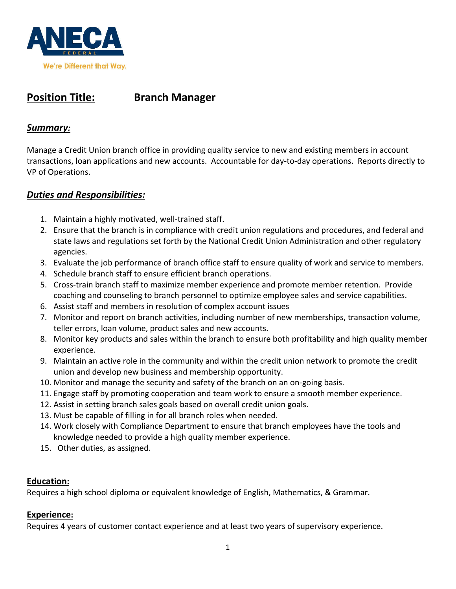

# **Position Title: Branch Manager**

## *Summary:*

Manage a Credit Union branch office in providing quality service to new and existing members in account transactions, loan applications and new accounts. Accountable for day-to-day operations. Reports directly to VP of Operations.

# *Duties and Responsibilities:*

- 1. Maintain a highly motivated, well-trained staff.
- 2. Ensure that the branch is in compliance with credit union regulations and procedures, and federal and state laws and regulations set forth by the National Credit Union Administration and other regulatory agencies.
- 3. Evaluate the job performance of branch office staff to ensure quality of work and service to members.
- 4. Schedule branch staff to ensure efficient branch operations.
- 5. Cross-train branch staff to maximize member experience and promote member retention. Provide coaching and counseling to branch personnel to optimize employee sales and service capabilities.
- 6. Assist staff and members in resolution of complex account issues
- 7. Monitor and report on branch activities, including number of new memberships, transaction volume, teller errors, loan volume, product sales and new accounts.
- 8. Monitor key products and sales within the branch to ensure both profitability and high quality member experience.
- 9. Maintain an active role in the community and within the credit union network to promote the credit union and develop new business and membership opportunity.
- 10. Monitor and manage the security and safety of the branch on an on-going basis.
- 11. Engage staff by promoting cooperation and team work to ensure a smooth member experience.
- 12. Assist in setting branch sales goals based on overall credit union goals.
- 13. Must be capable of filling in for all branch roles when needed.
- 14. Work closely with Compliance Department to ensure that branch employees have the tools and knowledge needed to provide a high quality member experience.
- 15. Other duties, as assigned.

#### **Education:**

Requires a high school diploma or equivalent knowledge of English, Mathematics, & Grammar.

### **Experience:**

Requires 4 years of customer contact experience and at least two years of supervisory experience.